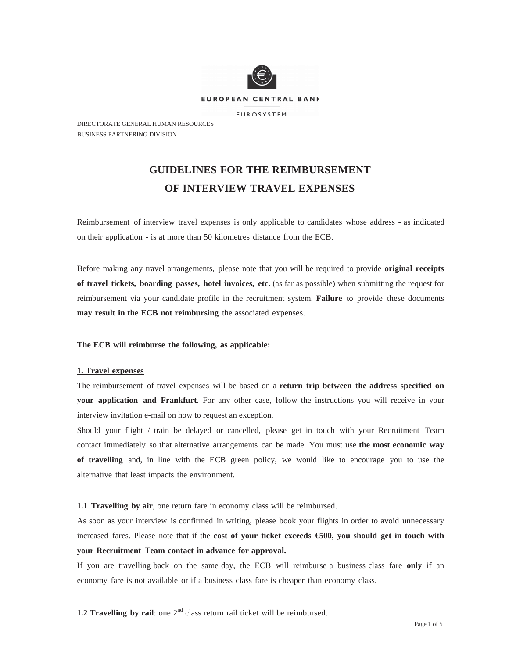

DIRECTORATE GENERAL HUMAN RESOURCES BUSINESS PARTNERING DIVISION

# **GUIDELINES FOR THE REIMBURSEMENT OF INTERVIEW TRAVEL EXPENSES**

Reimbursement of interview travel expenses is only applicable to candidates whose address - as indicated on their application - is at more than 50 kilometres distance from the ECB.

Before making any travel arrangements, please note that you will be required to provide **original receipts of travel tickets, boarding passes, hotel invoices, etc.** (as far as possible) when submitting the request for reimbursement via your candidate profile in the recruitment system. **Failure** to provide these documents **may result in the ECB not reimbursing** the associated expenses.

# **The ECB will reimburse the following, as applicable:**

# **1. Travel expenses**

The reimbursement of travel expenses will be based on a **return trip between the address specified on your application and Frankfurt**. For any other case, follow the instructions you will receive in your interview invitation e-mail on how to request an exception.

Should your flight / train be delayed or cancelled, please get in touch with your Recruitment Team contact immediately so that alternative arrangements can be made. You must use **the most economic way of travelling** and, in line with the ECB green policy, we would like to encourage you to use the alternative that least impacts the environment.

#### **1.1 Travelling by air**, one return fare in economy class will be reimbursed.

As soon as your interview is confirmed in writing, please book your flights in order to avoid unnecessary increased fares. Please note that if the **cost of your ticket exceeds €500, you should get in touch with your Recruitment Team contact in advance for approval.**

If you are travelling back on the same day, the ECB will reimburse a business class fare **only** if an economy fare is not available or if a business class fare is cheaper than economy class.

**1.2 Travelling by rail:** one 2<sup>nd</sup> class return rail ticket will be reimbursed.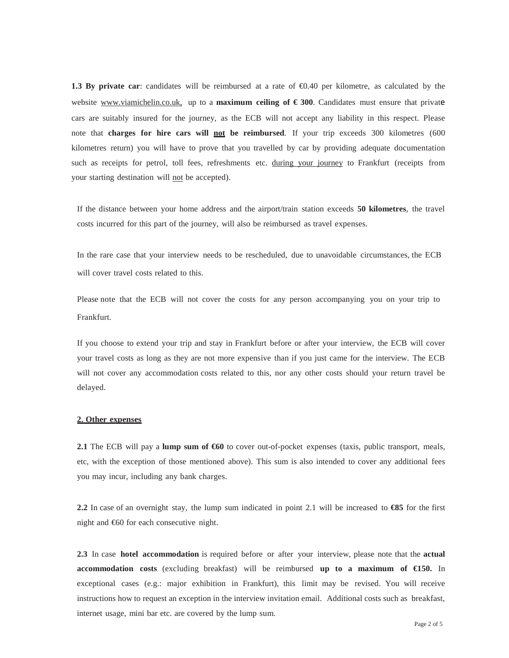**1.3 By private car**: candidates will be reimbursed at a rate of €0.40 per kilometre, as calculated by the website [www.viamichelin.co.uk,](http://www.viamichelin.co.uk/) up to a **maximum ceiling of € 300**. Candidates must ensure that private cars are suitably insured for the journey, as the ECB will not accept any liability in this respect. Please note that **charges for hire cars will not be reimbursed**. If your trip exceeds 300 kilometres (600 kilometres return) you will have to prove that you travelled by car by providing adequate documentation such as receipts for petrol, toll fees, refreshments etc. during your journey to Frankfurt (receipts from your starting destination will not be accepted).

If the distance between your home address and the airport/train station exceeds **50 kilometres**, the travel costs incurred for this part of the journey, will also be reimbursed as travel expenses.

In the rare case that your interview needs to be rescheduled, due to unavoidable circumstances, the ECB will cover travel costs related to this.

Please note that the ECB will not cover the costs for any person accompanying you on your trip to Frankfurt.

If you choose to extend your trip and stay in Frankfurt before or after your interview, the ECB will cover your travel costs as long as they are not more expensive than if you just came for the interview. The ECB will not cover any accommodation costs related to this, nor any other costs should your return travel be delayed.

# **2. Other expenses**

**2.1** The ECB will pay a **lump sum of €60** to cover out-of-pocket expenses (taxis, public transport, meals, etc, with the exception of those mentioned above). This sum is also intended to cover any additional fees you may incur, including any bank charges.

**2.2** In case of an overnight stay, the lump sum indicated in point 2.1 will be increased to **€85** for the first night and €60 for each consecutive night.

**2.3** In case **hotel accommodation** is required before or after your interview, please note that the **actual accommodation costs** (excluding breakfast) will be reimbursed **up to a maximum of €150.** In exceptional cases (e.g.: major exhibition in Frankfurt), this limit may be revised. You will receive instructions how to request an exception in the interview invitation email. Additional costs such as breakfast, internet usage, mini bar etc. are covered by the lump sum.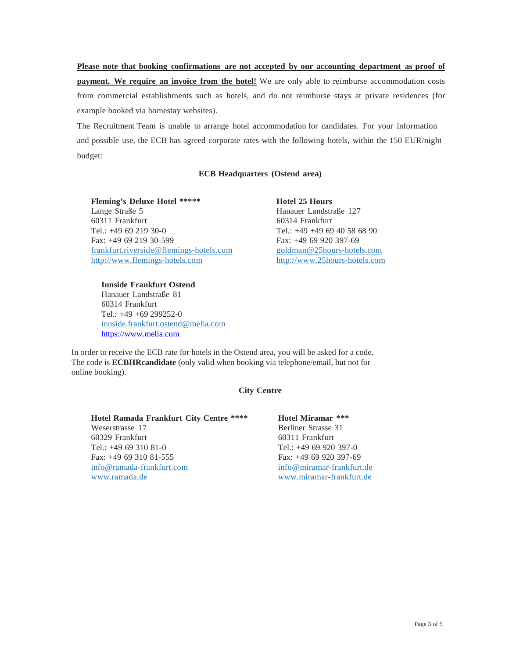**Please note that booking confirmations are not accepted by our accounting department as proof of payment. We require an invoice from the hotel!** We are only able to reimburse accommodation costs from commercial establishments such as hotels, and do not reimburse stays at private residences (for example booked via homestay websites).

The Recruitment Team is unable to arrange hotel accommodation for candidates. For your information and possible use, the ECB has agreed corporate rates with the following hotels, within the 150 EUR/night budget:

# **ECB Headquarters (Ostend area)**

**Fleming's Deluxe Hotel \*\*\*\*\*** Lange Straße 5 60311 Frankfurt Tel.: +49 69 219 30-0 Fax: +49 69 219 30-599 [frankfurt.riverside@flemings-hotels.com](mailto:frankfurt.riverside@flemings-hotels.com) [http://www.flemings-hotels.com](http://www.flemings-hotels.com/)

**Hotel 25 Hours** Hanauer Landstraße 127 60314 Frankfurt Tel.: +49 +49 69 40 58 68 90 Fax: +49 69 920 397-69 [goldman@25hours-hotels.com](mailto:goldman@25hours-hotels.com) [http://www.25hours-hotels.com](http://www.25hours-hotels.com/)

**Innside Frankfurt Ostend** Hanauer Landstraße 81 60314 Frankfurt Tel.: +49 +69 299252-0 [innside.frankfurt.ostend@melia.com](mailto:goldman@25hours-hotels.com) [https://www.melia.com](https://www.melia.com/en/hotels/germany/frankfurt/innside-frankfurt-ostend/index.html)

In order to receive the ECB rate for hotels in the Ostend area, you will be asked for a code. The code is **ECBHRcandidate** (only valid when booking via telephone/email, but not for online booking).

# **City Centre**

| Hotel Ramada Frankfurt City Centre **** | Hotel Miramar ***         |
|-----------------------------------------|---------------------------|
| Weserstrasse 17                         | Berliner Strasse 31       |
| 60329 Frankfurt                         | 60311 Frankfurt           |
| Tel.: $+496931081-0$                    | Tel.: $+49$ 69 920 397-0  |
| Fax: $+49$ 69 310 81-555                | Fax: +49 69 920 397-69    |
| info@ramada-frankfurt.com               | info@miramar-frankfurt.de |
| www.ramada.de                           | www.miramar-frankfurt.de  |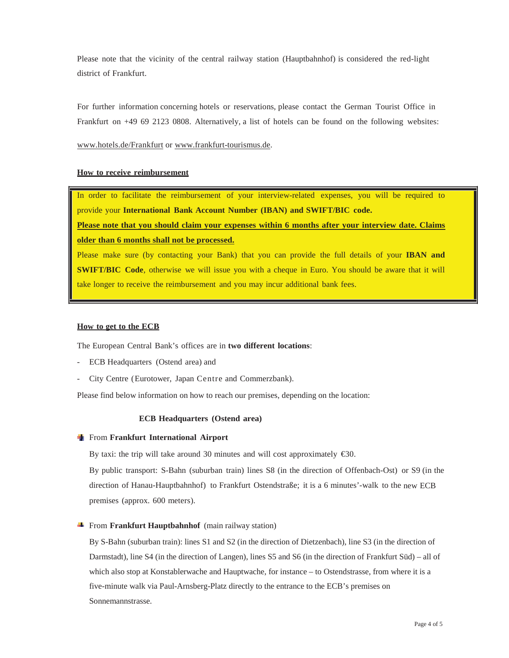Please note that the vicinity of the central railway station (Hauptbahnhof) is considered the red-light district of Frankfurt.

For further information concerning hotels or reservations, please contact the German Tourist Office in Frankfurt on +49 69 2123 0808. Alternatively, a list of hotels can be found on the following websites:

[www.hotels.de/Frankfurt](http://www.hotels.de/Frankfurt) or [www.frankfurt-tourismus.de.](http://www.frankfurt-tourismus.de/)

#### **How to receive reimbursement**

In order to facilitate the reimbursement of your interview-related expenses, you will be required to provide your **International Bank Account Number (IBAN) and SWIFT/BIC code.**

**Please note that you should claim your expenses within 6 months after your interview date. Claims older than 6 months shall not be processed.**

Please make sure (by contacting your Bank) that you can provide the full details of your **IBAN and SWIFT/BIC Code**, otherwise we will issue you with a cheque in Euro. You should be aware that it will take longer to receive the reimbursement and you may incur additional bank fees.

#### **How to get to the ECB**

The European Central Bank's offices are in **two different locations**:

- ECB Headquarters (Ostend area) and
- City Centre (Eurotower, Japan Centre and Commerzbank).

Please find below information on how to reach our premises, depending on the location:

#### **ECB Headquarters (Ostend area)**

From **Frankfurt International Airport**

By taxi: the trip will take around 30 minutes and will cost approximately  $\epsilon$ 30.

By public transport: S-Bahn (suburban train) lines S8 (in the direction of Offenbach-Ost) or S9 (in the direction of Hanau-Hauptbahnhof) to Frankfurt Ostendstraße; it is a 6 minutes'-walk to the new ECB premises (approx. 600 meters).

# **Figure 1** From **Frankfurt Hauptbahnhof** (main railway station)

By S-Bahn (suburban train): lines S1 and S2 (in the direction of Dietzenbach), line S3 (in the direction of Darmstadt), line S4 (in the direction of Langen), lines S5 and S6 (in the direction of Frankfurt Süd) – all of which also stop at Konstablerwache and Hauptwache, for instance – to Ostendstrasse, from where it is a five-minute walk via Paul-Arnsberg-Platz directly to the entrance to the ECB's premises on Sonnemannstrasse.